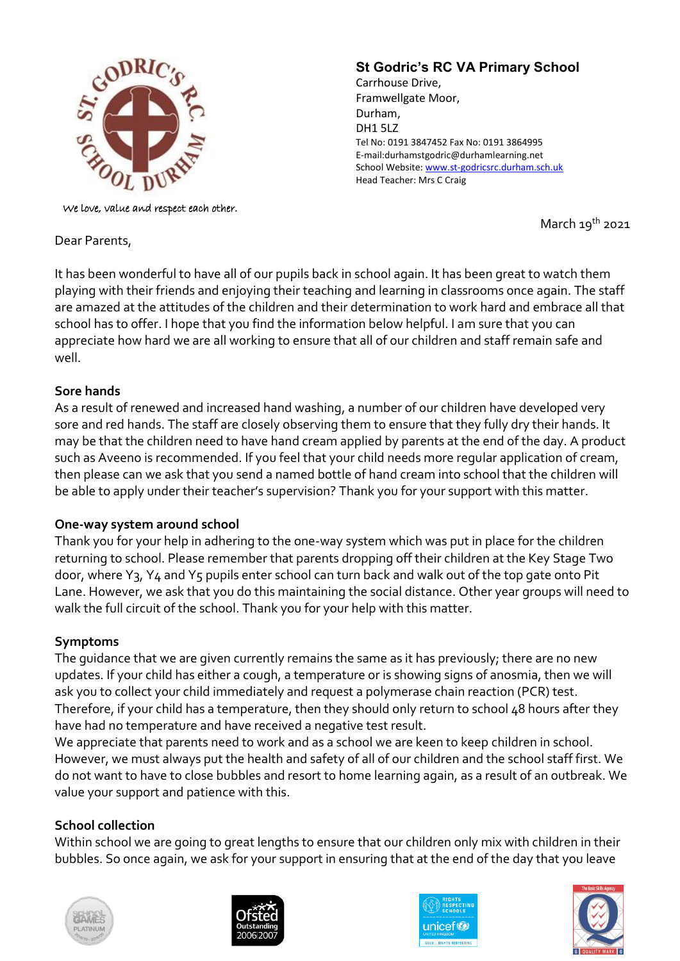

We love, value and respect each other.

Dear Parents,

# **St Godric's RC VA Primary School**

Carrhouse Drive, Framwellgate Moor, Durham, DH1 5LZ Tel No: 0191 3847452 Fax No: 0191 3864995 E-mail:durhamstgodric@durhamlearning.net School Website[: www.st-godricsrc.durham.sch.uk](http://www.st-godricsrc.durham.sch.uk/) Head Teacher: Mrs C Craig

March  $19^{th}$  2021

It has been wonderful to have all of our pupils back in school again. It has been great to watch them playing with their friends and enjoying their teaching and learning in classrooms once again. The staff are amazed at the attitudes of the children and their determination to work hard and embrace all that school has to offer. I hope that you find the information below helpful. I am sure that you can appreciate how hard we are all working to ensure that all of our children and staff remain safe and well.

#### **Sore hands**

As a result of renewed and increased hand washing, a number of our children have developed very sore and red hands. The staff are closely observing them to ensure that they fully dry their hands. It may be that the children need to have hand cream applied by parents at the end of the day. A product such as Aveeno is recommended. If you feel that your child needs more regular application of cream, then please can we ask that you send a named bottle of hand cream into school that the children will be able to apply under their teacher's supervision? Thank you for your support with this matter.

# **One-way system around school**

Thank you for your help in adhering to the one-way system which was put in place for the children returning to school. Please remember that parents dropping off their children at the Key Stage Two door, where Y3, Y4 and Y5 pupils enter school can turn back and walk out of the top gate onto Pit Lane. However, we ask that you do this maintaining the social distance. Other year groups will need to walk the full circuit of the school. Thank you for your help with this matter.

# **Symptoms**

The guidance that we are given currently remains the same as it has previously; there are no new updates. If your child has either a cough, a temperature or is showing signs of anosmia, then we will ask you to collect your child immediately and request a polymerase chain reaction (PCR) test. Therefore, if your child has a temperature, then they should only return to school 48 hours after they have had no temperature and have received a negative test result.

We appreciate that parents need to work and as a school we are keen to keep children in school. However, we must always put the health and safety of all of our children and the school staff first. We do not want to have to close bubbles and resort to home learning again, as a result of an outbreak. We value your support and patience with this.

# **School collection**

Within school we are going to great lengths to ensure that our children only mix with children in their bubbles. So once again, we ask for your support in ensuring that at the end of the day that you leave